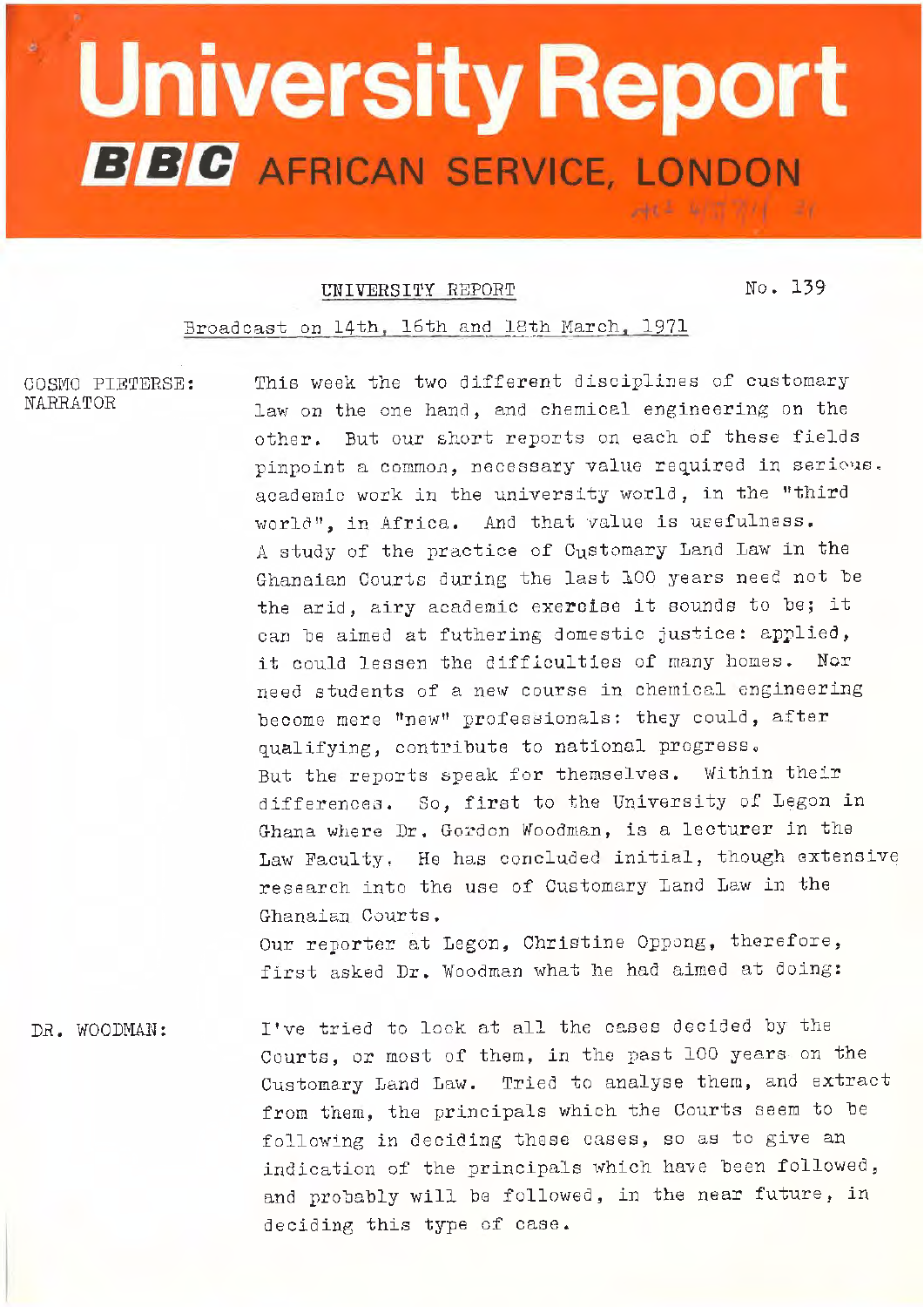## $^{\circ}$  University Report **BBC** AFRICAN SERVICE, LONDON

**\_ \_\_:di:--** ·~~. --~----- -=---=-- - ----~-~- -\_ ----- --- -• - ~= - =~--

## **THIVERSITY REPORT NO. 139**

 $A1 = 417.771 = 21$ 

Broadcast on 14th, 16th and 18th March, 1971

COSMO l'IETERSE: NARRATOR

This week the two different disciplines of customary law on the one hand, and chemical engineering on the other. But our short reports on each of these fields pinpoint a common, necessary value required in serious. academic work in the university world, in the "third world", in Africa. And that value is usefulness. A study of the practice of Customary Land Law in the Ghanaian Courts during the last 100 years need not be the arid, airy academic exercise it sounds to be; it can be aimed at futhering domestic justice: aprlied, it could lessen the difficulties of many homes. Nor need students of a new course in chemical engineering become mere "new" professionals: they could, after qualifying, contribute to national progress. But the reports speak for themselves. Within their differences. So, first to the University of Legon in Ghana where Dr. Gordon Woodman, is a lecturer in the Law Faculty, Ho has concluded initial, though extensive research into the use of Customary Land Law in the Ghanaian Courts. Our reporter at Legon, Christine Oppong, therefore, first asked Dr. Woodman what he had aimed at doing:

DR. WOODMAN: I've tried to look at all the cases decided by the Courts, or most of them, in the past 100 years on the Customary Land Law. Tried to analyse them, and extract from them, the principals which the Courts seem to be following in aeciding these cases, so as to give an indication of the principals which have been followed, and probably will be followed, in the near future, in deciding this type of case.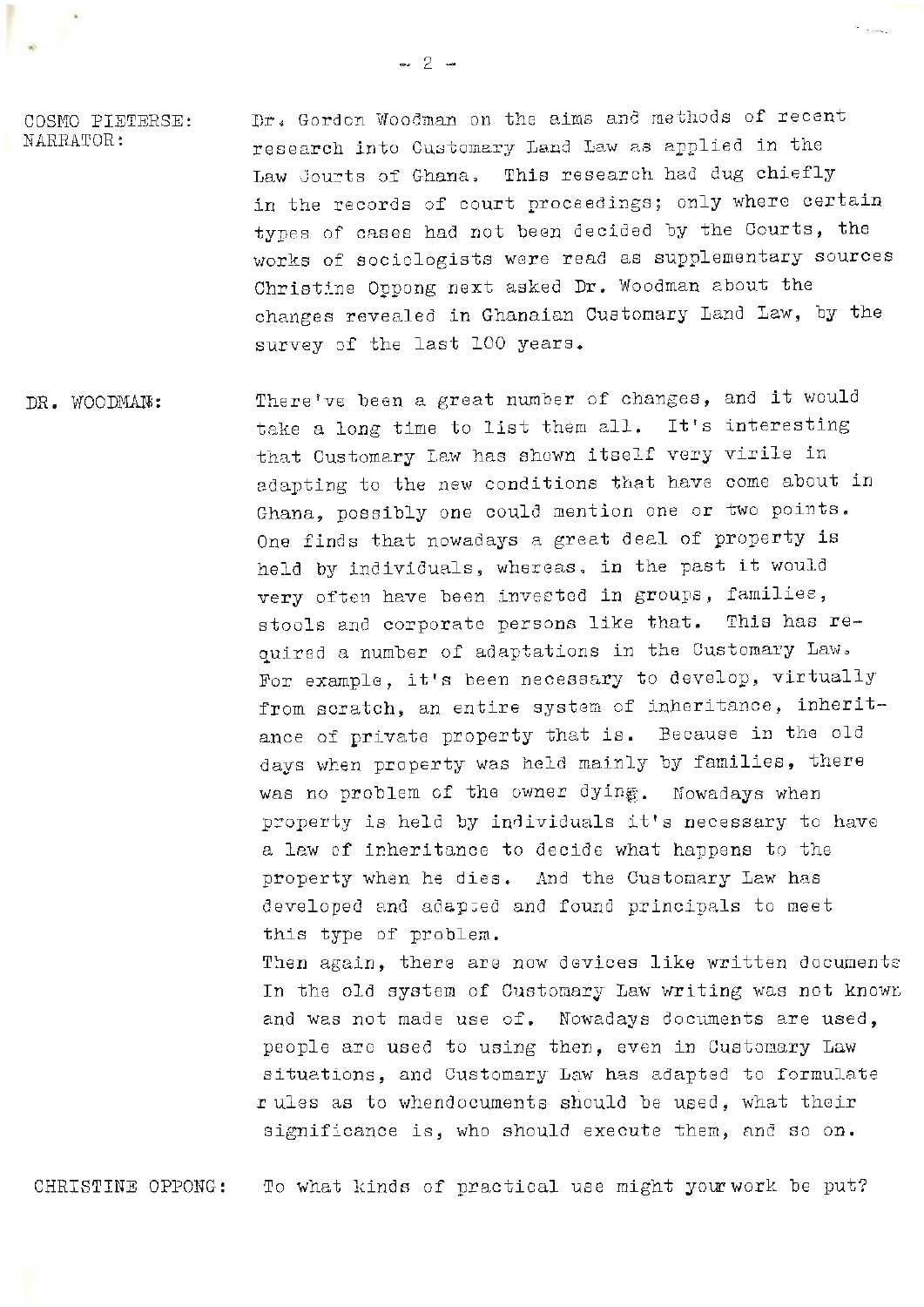COSMO PIETERSE: NARRATOR:

Dr. Gordon Woodman on the aims and methods of recent research into Customary Land Law as applied in the Law Courts of Ghana. This research had dug chiefly in the records of court proceedings; only where certain types of cases had not been decided by the Courts, the works of sociologists were read as supplementary sources Christine Oppong next asked Dr. Woodman about the changes revealed in Ghanaian Customary Land Law, by the survey of the last 100 years.

DR. WOODMAN: There've been a great number of changes, and it would take a long time to list them all. It's interesting that Customary Iaw has shown itself very virile in adapting to the new conditions that have come about in Ghana, possibly one could mention one or two points. One finds that nowadays a great deal of property is held by individuals, whereas, in the past it would very often have been invested in groups, families, stools and corporate persons like that. This has required a number of adaptations in the Customary Law. For example, it's been necessary to develop, virtually from scratch, an entire system of inheritance, inheritance of private property that is. Because in the old days when property was held mainly by families, there was no problem of the owner dying. Nowadays when property is held by individuals it's necessary to have a law of inheritance to decide what happens to the property when he dies. And the Customary Law has developed and adapted and found principals to meet this type of problem. Then again, there are new devices like written documents In the old system of Customary Law writing was not knowr, and was not made use of. Nowadays documents are used, people are used to using then, even in Customary Law

> rules as to whendocuments should be used, what their significance is, who should execute them, and so on.

situations, and Customary Law has adapted to formulate

CHRISTINE OPPONG: To what kinds of practical use might your work be put?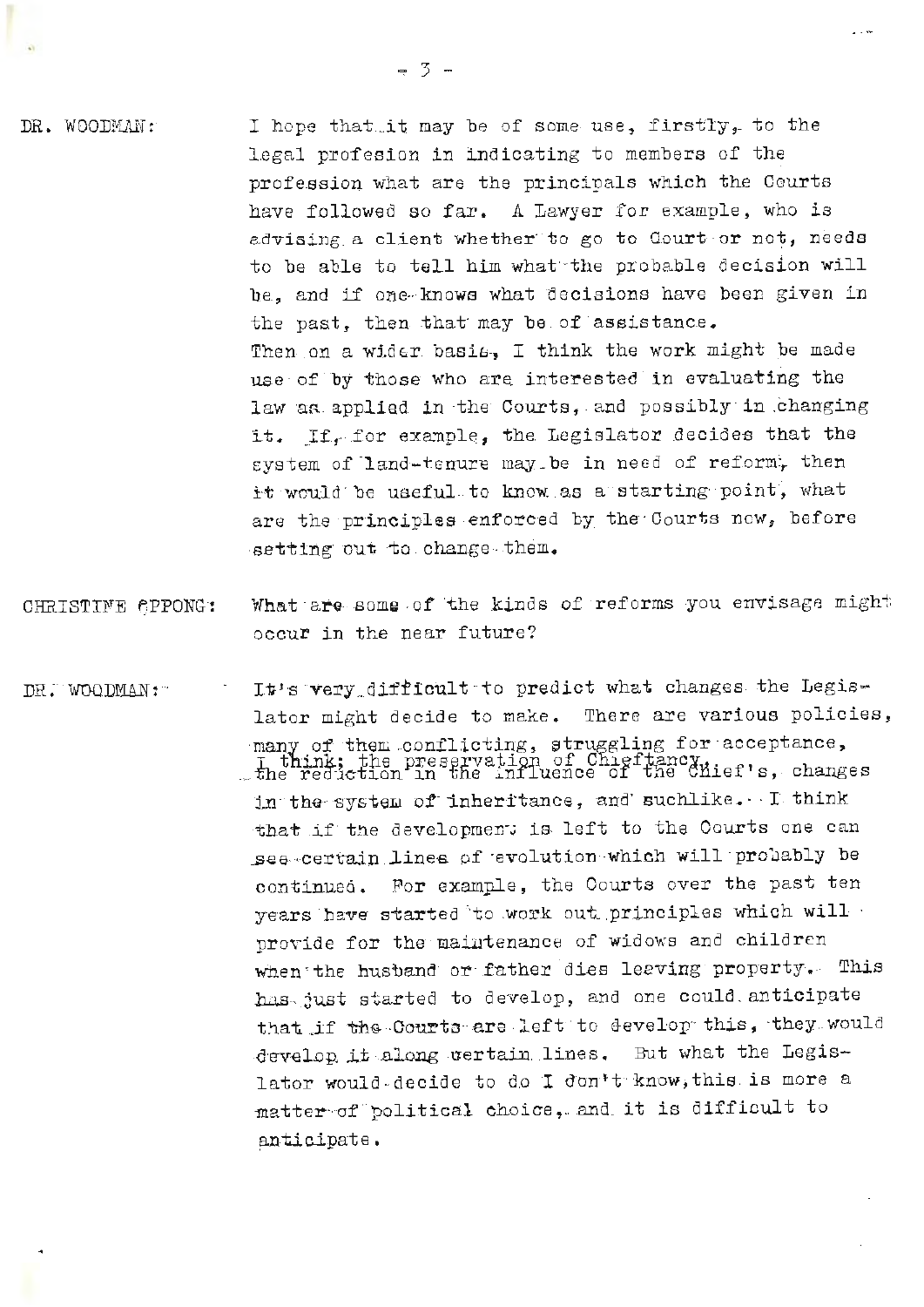DR. WOODMAN:

I hope that it may be of some use, firstly, to the legal profesion in indicating to members of the profession what are the principals which the Courts have followed so far. A Lawyer for example, who is advising a client whether to go to Court or not, needs to be able to tell him what the probable decision will be, and if one knows what decisions have been given in the past, then that may be of assistance. Then on a wider basis. I think the work might be made use of by those who are interested in evaluating the law as applied in the Courts, and possibly in changing it. If for example, the Legislator decides that the system of land-tenure may be in need of reform, then it would be useful to know as a starting point, what are the principles enforced by the Courts new, before setting out to change them.

- What are some of the kinds of reforms you envisage might CHRISTINE CPPONG: occur in the near future?
- It's very difficult to predict what changes the Legis-DR. WOODMAN: lator might decide to make. There are various policies, many of them conflicting, struggling for acceptance, T think: the preservation of Chieftancy<br>the reduction in the influence of the Chief's, changes in the system of inheritance, and suchlike. I think that if the development is left to the Courts one can see certain lines of evolution which will probably be continued. For example, the Courts over the past ten years have started to work out principles which will provide for the maintenance of widows and children when the husband or father dies leaving property. This has just started to develop, and one could anticipate that if the Courts are left to develop this, they would develop it along tertain lines. But what the Legislator would-decide to do I don't know, this is more a matter of political choice, and it is difficult to anticipate.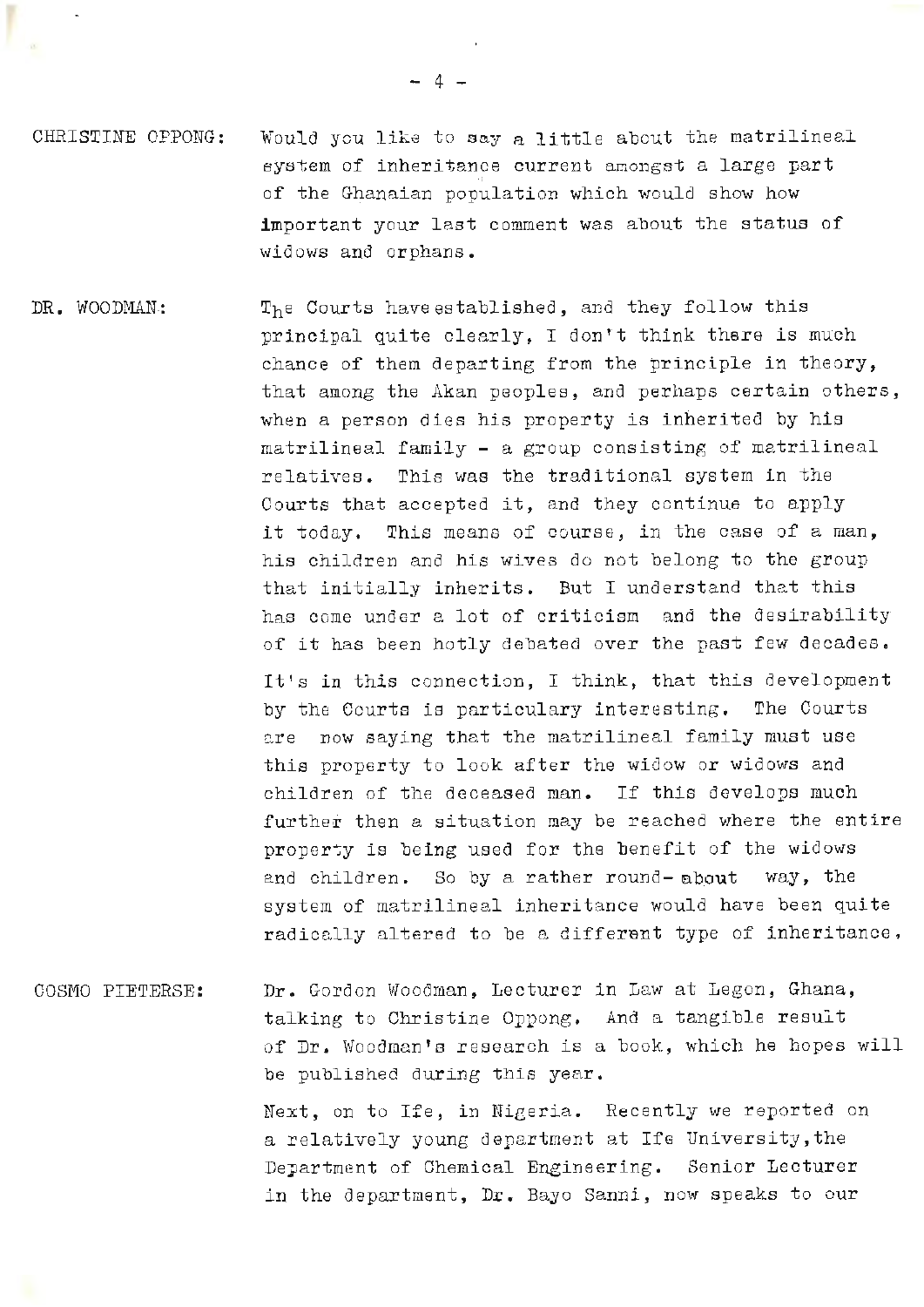- CHRISTINE OPPONG: Would you like to say a little about the matrilineal system of inheritance current amongst a large part of the Ghanaian population which would show how important your last comment was about the status of widows and orphans.
- DR. WOODMAN: The Courts have established, and they follow this principal quite clearly, I don't think there is much chance of them departing from the principle in theory, that among the Akan peoples, and perhaps certain others, when a person dies his property is inherited by his matrilineal family - a group consisting of matrilineal relatives. This was the traditional system in the Courts that accepted it, and they continue to apply it today. This means of course, in the case of a man, his children and his wives do not belong to the group that initially inherits. But I understand that this has come under a lot of criticism and the desirability of it has been hotly debated over the past few decades. It's in this connection, I think, that this development by the Courts is particulary interesting. The Courts

are now saying that the matrilineal family must use this property to look after the widow or widows and children of the deceased man. If this develops much further then a situation may be reached where the entire property is being used for the benefit of the widows and children. So by a rather round- about way, the system of matrilineal inheritance would have been quite radically altered to be a different type of inheritance.

COSMO PIETERSE: Dr. Gordon Woodman, Lecturer in Law at Legon, Ghana, talking to Christine Oppong. And a tangible result of Dr. Woodman's research is a book, which he hopes will be published during this year.

> Next, on to Ife, in Nigeria. Recently we reported on a relatively young department at Ife University,the Department of Chemical Engineering. Senior Lecturer in the department, Dr. Bayo Sanni, now speaks to our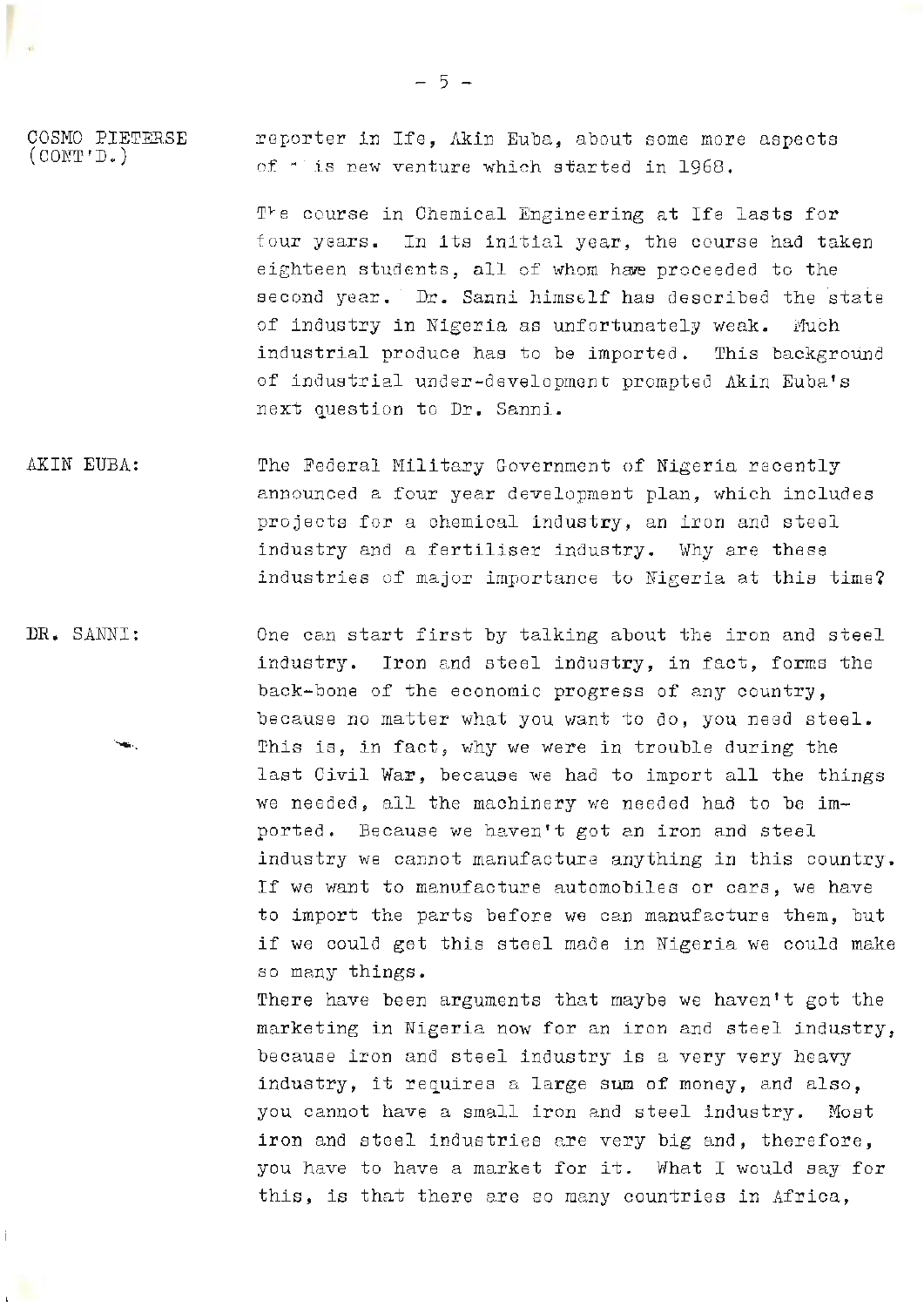COSMO PIETER.SE  $($  CONT'D.) reporter in Ife, Akin Euba, about some more aspects of· is new venture which started in 1968.

> The course in Chemical Engineering at Ife lasts for four years. In its initial year, the course had taken eighteen students, all of whom have proceeded to the second year. Dr. Sanni himself has described the state of industry in Nigeria as unfortunately weak. Much industrial produce has to be importea. This background of industrial under-development prompted Akin Euba's next question to Dr. Sanni.

AKIN EUBA: The Federal Military Government of Nigeria recently announced a four year development plan, which includes projects for a chemical industry, an iron and steel industry and a fertiliser industry. Why are these industries of major importance to Nigeria at this time?

**DR.** SANNI: One can start first by talking about the iron and steel industry. Iron and steel industry, in fact, forms the back-bone of the economic progress of any country, because no matter what you want to do, you need steel. This is, in fact, why we were in trouble during the last Civil War, because we had to import all the things we needed, all the machinery we needed had to be imported, Because we haven't got an iron and steel industry we cannot manufacture anything in this country. If we want to manufacture automobiles or cars, we have to import the parts before we can manufacture them, but if we could get this steel made in Nigeria we could make so many things.

> There have been arguments that maybe we haven't got the marketing in Nigeria now for an iron and steel industry, because iron and steel industry is a very very heavy industry, it requires a large sum of money, and also, you cannot have a small iron and steel industry. Most iron and steel industries are very big and, therefore, you have to have a market for it. What I would say for this, is that there are so many countries in Africa,

- 5 -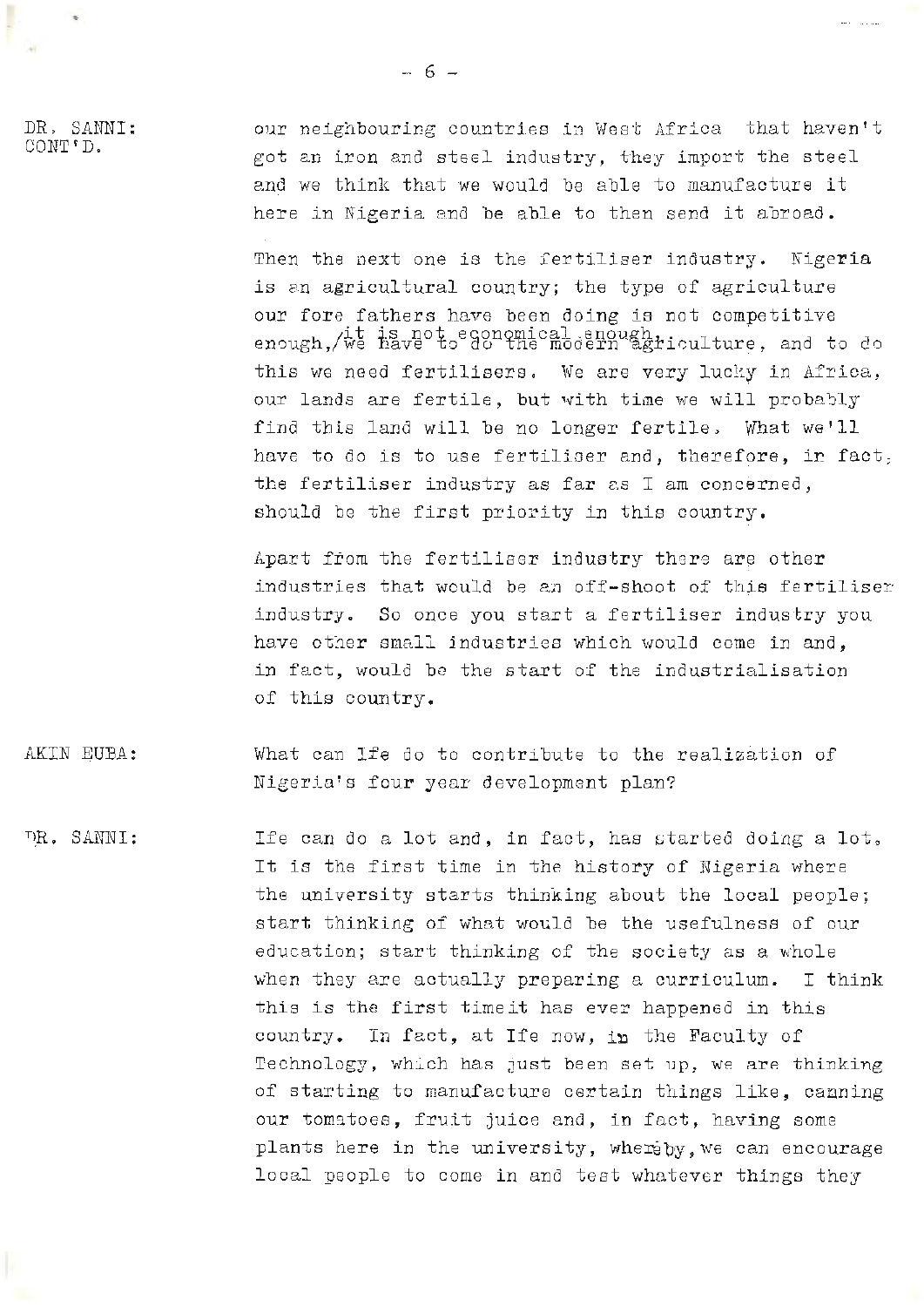DR. SANNI: CONT'D.

our neighbouring countries in West Africa that haven't got an iron and steel industry, they import the steel and we think that we would be able to manufacture it here in Nigeria and be able to then send it abroad.

Then the next one is the fertiliser industry. Nigeria is an agricultural country; the type of agriculture our fore fathers have been doing is not competitive enough, we have to do the modern agriculture, and to do this we need fertilisers. We are very lucky in Africa, our lands are fertile, but with time we will probably find this land will be no longer fertile. What we'll have to do is to use fertiliser and, therefore, in fact, the fertiliser industry as far as I am concerned, should be the first priority in this country.

Apart from the fertiliser industry there are other industries that would be an off-shoot of this fertiliser industry. So once you start a fertiliser industry you have other small industries which would come in and, in fact, would be the start of the industrialisation of this country.

AKIN EUBA: What can Ife do to contribute to the realization of Nigeria's four year development plan?

DR. SANNI: Ife can do a lot and, in fact, has started doing a lot. It is the first time in the history of Nigeria where the university starts thinking about the local people; start thinking of what would be the usefulness of our education; start thinking of the society as a whole when they are actually preparing a curriculum. I think this is the first time it has ever happened in this country. In fact, at Ife now, in the Faculty of Technology, which has just been set up, we are thinking of starting to manufacture certain things like, canning our tomatoes, fruit juice and, in fact, having some plants here in the university, whereby, we can encourage local people to come in and test whatever things they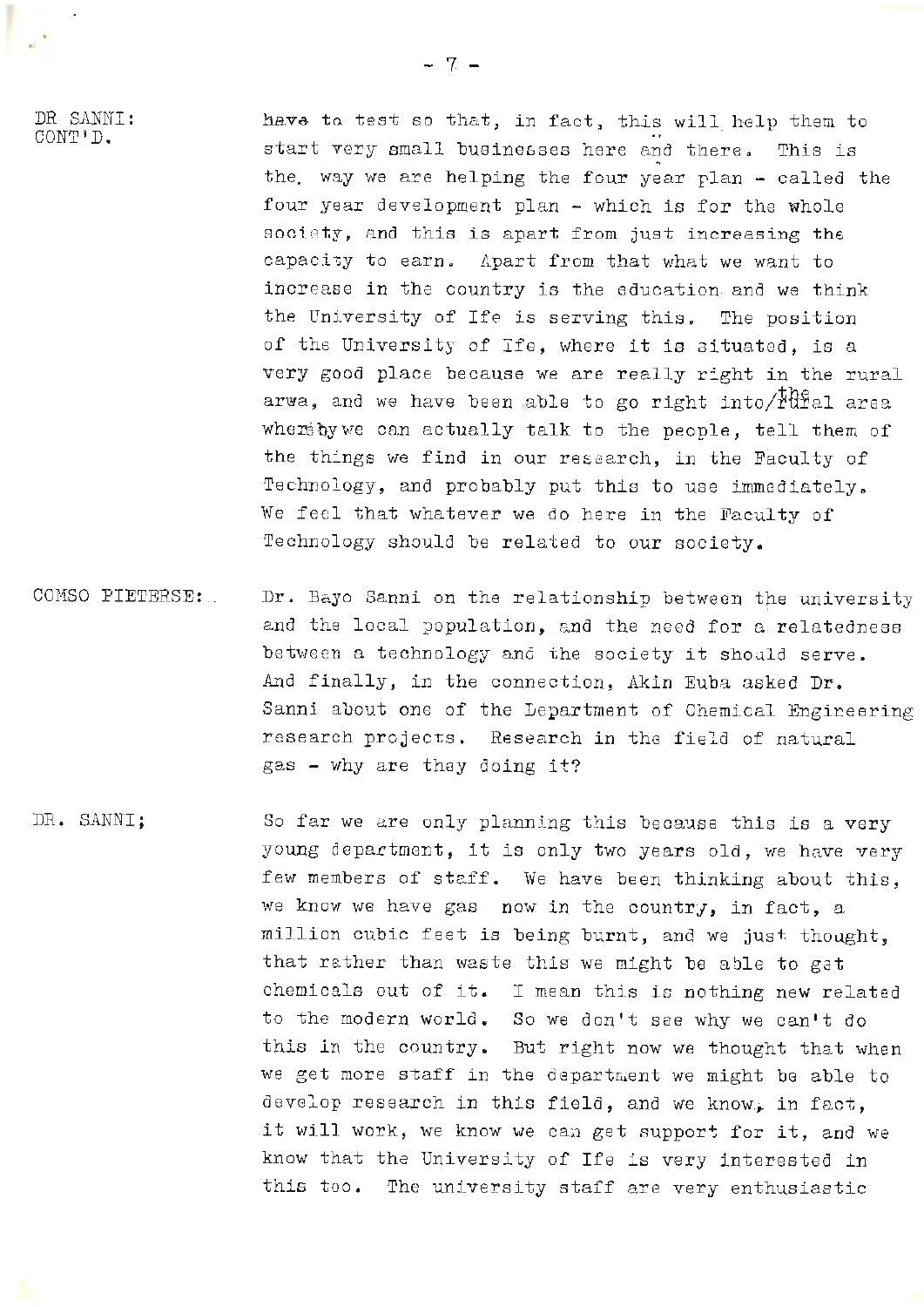:OR SANNI: CONT'D.

have to test so that, in fact, this will help them to . . start very small businesses here and there. This is the. way we are helping the four year plan - called the four year development plan - which is for the whole sociaty, and this is apart from just increasing the capacity to earn. Apart from that what we want to increase in the country is the education and we think the University of Ife is serving this. The position of the University of Ife, where it is aituated, is a very good place because we are really right in the rural arwa, and we have been able to go right into/ $t_{\text{total}}^{\text{the}}$  area whereby we can actually talk to the people, tell them of the things we find in our research, in the Faculty of Technology, and probably put this to use immediately. We feel that whatever we do here in the Faculty of Technology should be related to our society.

- COMSO PIETERSE:.. Dr. Bayo Sanni on the relationship between the university and the local population, and the need for a relatedness between a technology and the society it should serve. And finally, in the connection, Akin Euba asked Dr. Sanni about one of the Lepartment of Chemical Engineering research projects. Research in the field of natural gas - why are they doing it?
- DR. SANNI; So far we are only planning this because this is a very young department, it is only two years old, we have very few members of staff. We have been thinking about this, we know we have gas now in the country, in fact, a million cubic feet is being burnt, and we just thought, that rather than waste this we might be able to gat chemicals out of it. I mean this ic nothing new related to the modern world. So we don't see why we can't do this ln the country. But right now we thought that when we get more staff in the department we might be able to develop research in this field, and we know, in fact, it will work, we know we can get support for it, and we know that the University of Ife is very interested in this too. The university staff are very enthusiastic